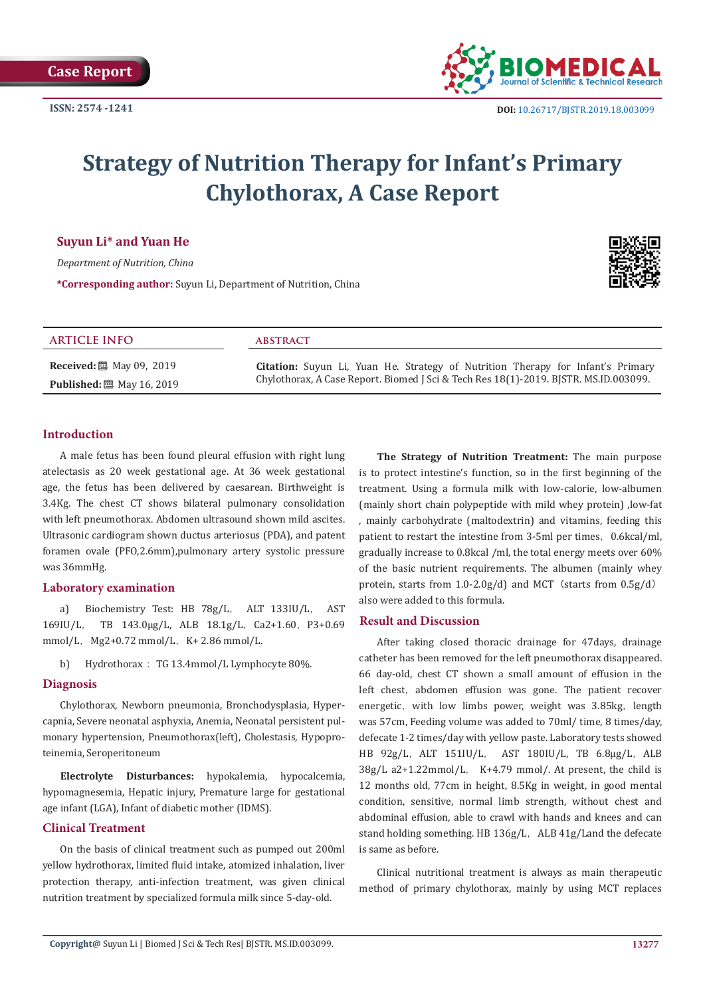

# **Strategy of Nutrition Therapy for Infant's Primary Chylothorax, A Case Report**

**Suyun Li\* and Yuan He** 

*Department of Nutrition, China*

**\*Corresponding author:** Suyun Li, Department of Nutrition, China



| <b>ARTICLE INFO</b>                  | <b>ABSTRACT</b>                                                                                                                                                                |
|--------------------------------------|--------------------------------------------------------------------------------------------------------------------------------------------------------------------------------|
| <b>Received:</b> [2019] May 09, 2019 | <b>Citation:</b> Suyun Li, Yuan He. Strategy of Nutrition Therapy for Infant's Primary<br>Chylothorax, A Case Report. Biomed J Sci & Tech Res 18(1)-2019. BJSTR. MS.ID.003099. |
| <b>Published:</b> 圖 May 16, 2019     |                                                                                                                                                                                |

# **Introduction**

A male fetus has been found pleural effusion with right lung atelectasis as 20 week gestational age. At 36 week gestational age, the fetus has been delivered by caesarean. Birthweight is 3.4Kg. The chest CT shows bilateral pulmonary consolidation with left pneumothorax. Abdomen ultrasound shown mild ascites. Ultrasonic cardiogram shown ductus arteriosus (PDA), and patent foramen ovale (PFO,2.6mm),pulmonary artery systolic pressure was 36mmHg.

## **Laboratory examination**

a) Biochemistry Test: HB 78g/L, ALT 133IU/L, AST 169IU/L, TB 143.0μg/L, ALB 18.1g/L, Ca2+1.60, P3+0.69 mmol/L, Mg2+0.72 mmol/L, K+ 2.86 mmol/L.

b) Hydrothorax: TG 13.4mmol/L Lymphocyte 80%.

#### **Diagnosis**

Chylothorax, Newborn pneumonia, Bronchodysplasia, Hypercapnia, Severe neonatal asphyxia, Anemia, Neonatal persistent pulmonary hypertension, Pneumothorax(left), Cholestasis, Hypoproteinemia, Seroperitoneum

**Electrolyte Disturbances:** hypokalemia, hypocalcemia, hypomagnesemia, Hepatic injury, Premature large for gestational age infant (LGA), Infant of diabetic mother (IDMS).

# **Clinical Treatment**

On the basis of clinical treatment such as pumped out 200ml yellow hydrothorax, limited fluid intake, atomized inhalation, liver protection therapy, anti-infection treatment, was given clinical nutrition treatment by specialized formula milk since 5-day-old.

**The Strategy of Nutrition Treatment:** The main purpose is to protect intestine's function, so in the first beginning of the treatment. Using a formula milk with low-calorie, low-albumen (mainly short chain polypeptide with mild whey protein) ,low-fat , mainly carbohydrate (maltodextrin) and vitamins, feeding this patient to restart the intestine from 3-5ml per times, 0.6kcal/ml, gradually increase to 0.8kcal /ml, the total energy meets over 60% of the basic nutrient requirements. The albumen (mainly whey protein, starts from  $1.0$ -2.0g/d) and MCT (starts from  $0.5g/d$ ) also were added to this formula.

### **Result and Discussion**

After taking closed thoracic drainage for 47days, drainage catheter has been removed for the left pneumothorax disappeared. 66 day-old, chest CT shown a small amount of effusion in the left chest, abdomen effusion was gone. The patient recover energetic, with low limbs power, weight was 3.85kg, length was 57cm, Feeding volume was added to 70ml/ time, 8 times/day, defecate 1-2 times/day with yellow paste. Laboratory tests showed HB 92g/L,ALT 151IU/L, AST 180IU/L, TB 6.8µg/L,ALB 38g/L a2+1.22mmol/L, K+4.79 mmol/. At present, the child is 12 months old, 77cm in height, 8.5Kg in weight, in good mental condition, sensitive, normal limb strength, without chest and abdominal effusion, able to crawl with hands and knees and can stand holding something. HB 136g/L, ALB 41g/Land the defecate is same as before.

Clinical nutritional treatment is always as main therapeutic method of primary chylothorax, mainly by using MCT replaces